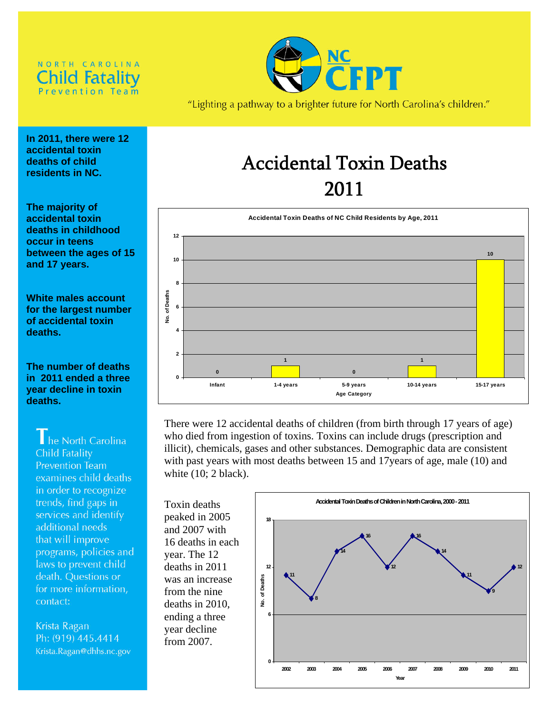## NORTH CAROLINA hild Fatality **Prevention Team**



"Lighting a pathway to a brighter future for North Carolina's children."

**In 2011, there were 12 accidental toxin deaths of child residents in NC.** 

**The majority of accidental toxin deaths in childhood occur in teens between the ages of 15 and 17 years.** 

**White males account for the largest number of accidental toxin deaths.** 

**The number of deaths in 2011 ended a three year decline in toxin deaths.** 

## he North Carolina Child Fatality **Prevention Team** examines child deaths in order to recognize trends, find gaps in services and identify additional needs that will improve programs, policies and laws to prevent child death. Questions or

for more information, contact:

Krista Ragan Ph: (919) 445.4414 Krista.Ragan@dhhs.nc.gov

# Accidental Toxin Deaths 2011



There were 12 accidental deaths of children (from birth through 17 years of age) who died from ingestion of toxins. Toxins can include drugs (prescription and illicit), chemicals, gases and other substances. Demographic data are consistent with past years with most deaths between 15 and 17years of age, male (10) and white (10; 2 black).

Toxin deaths peaked in 2005 and 2007 with 16 deaths in each year. The 12 deaths in 2011 was an increase from the nine deaths in 2010, ending a three year decline from 2007.